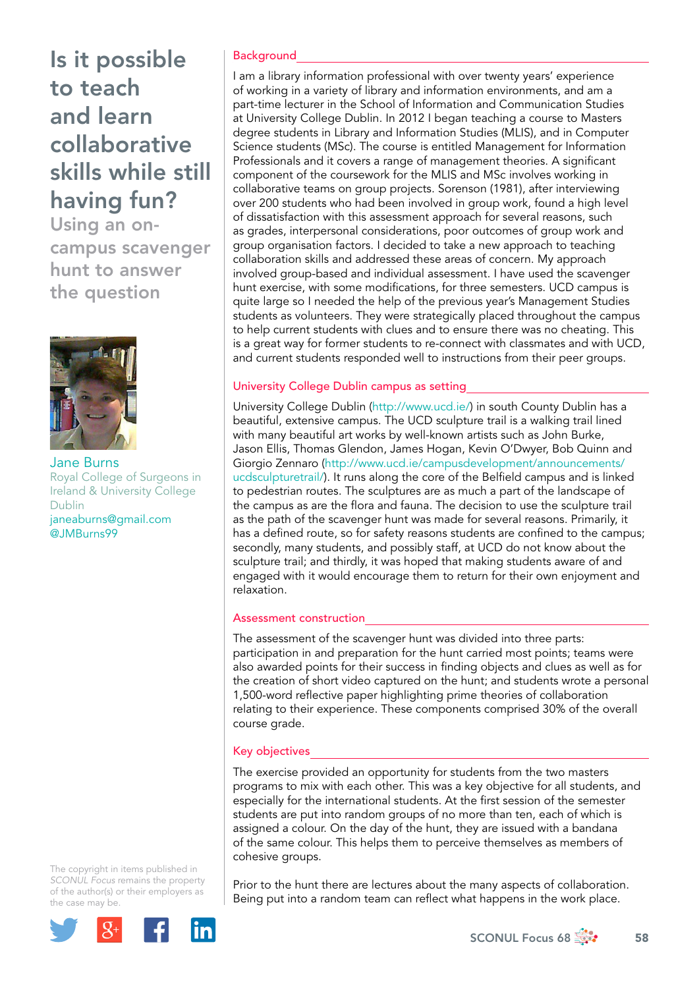# Is it possible to teach and learn collaborative skills while still having fun?

Using an oncampus scavenger hunt to answer the question



Jane Burns Royal College of Surgeons in Ireland & University College Dublin [janeaburns@gmail.com](mailto:janeaburns@gmail.com) [@JMBurns99](https://twitter.com/JMBurns99)

The copyright in items published in *SCONUL Focus* remains the property of the author(s) or their employers as the case may be.



## **Background**

I am a library information professional with over twenty years' experience of working in a variety of library and information environments, and am a part-time lecturer in the School of Information and Communication Studies at University College Dublin. In 2012 I began teaching a course to Masters degree students in Library and Information Studies (MLIS), and in Computer Science students (MSc). The course is entitled Management for Information Professionals and it covers a range of management theories. A significant component of the coursework for the MLIS and MSc involves working in collaborative teams on group projects. Sorenson (1981), after interviewing over 200 students who had been involved in group work, found a high level of dissatisfaction with this assessment approach for several reasons, such as grades, interpersonal considerations, poor outcomes of group work and group organisation factors. I decided to take a new approach to teaching collaboration skills and addressed these areas of concern. My approach involved group-based and individual assessment. I have used the scavenger hunt exercise, with some modifications, for three semesters. UCD campus is quite large so I needed the help of the previous year's Management Studies students as volunteers. They were strategically placed throughout the campus to help current students with clues and to ensure there was no cheating. This is a great way for former students to re-connect with classmates and with UCD, and current students responded well to instructions from their peer groups.

## University College Dublin campus as setting

University College Dublin [\(http://www.ucd.ie/](http://www.ucd.ie/)) in south County Dublin has a beautiful, extensive campus. The UCD sculpture trail is a walking trail lined with many beautiful art works by well-known artists such as John Burke, Jason Ellis, Thomas Glendon, James Hogan, Kevin O'Dwyer, Bob Quinn and Giorgio Zennaro ([http://www.ucd.ie/campusdevelopment/announcements/](http://www.ucd.ie/campusdevelopment/announcements/ucdsculpturetrail/) [ucdsculpturetrail/\)](http://www.ucd.ie/campusdevelopment/announcements/ucdsculpturetrail/). It runs along the core of the Belfield campus and is linked to pedestrian routes. The sculptures are as much a part of the landscape of the campus as are the flora and fauna. The decision to use the sculpture trail as the path of the scavenger hunt was made for several reasons. Primarily, it has a defined route, so for safety reasons students are confined to the campus; secondly, many students, and possibly staff, at UCD do not know about the sculpture trail; and thirdly, it was hoped that making students aware of and engaged with it would encourage them to return for their own enjoyment and relaxation.

## Assessment construction

The assessment of the scavenger hunt was divided into three parts: participation in and preparation for the hunt carried most points; teams were also awarded points for their success in finding objects and clues as well as for the creation of short video captured on the hunt; and students wrote a personal 1,500-word reflective paper highlighting prime theories of collaboration relating to their experience. These components comprised 30% of the overall course grade.

## Key objectives

The exercise provided an opportunity for students from the two masters programs to mix with each other. This was a key objective for all students, and especially for the international students. At the first session of the semester students are put into random groups of no more than ten, each of which is assigned a colour. On the day of the hunt, they are issued with a bandana of the same colour. This helps them to perceive themselves as members of cohesive groups.

Prior to the hunt there are lectures about the many aspects of collaboration. Being put into a random team can reflect what happens in the work place.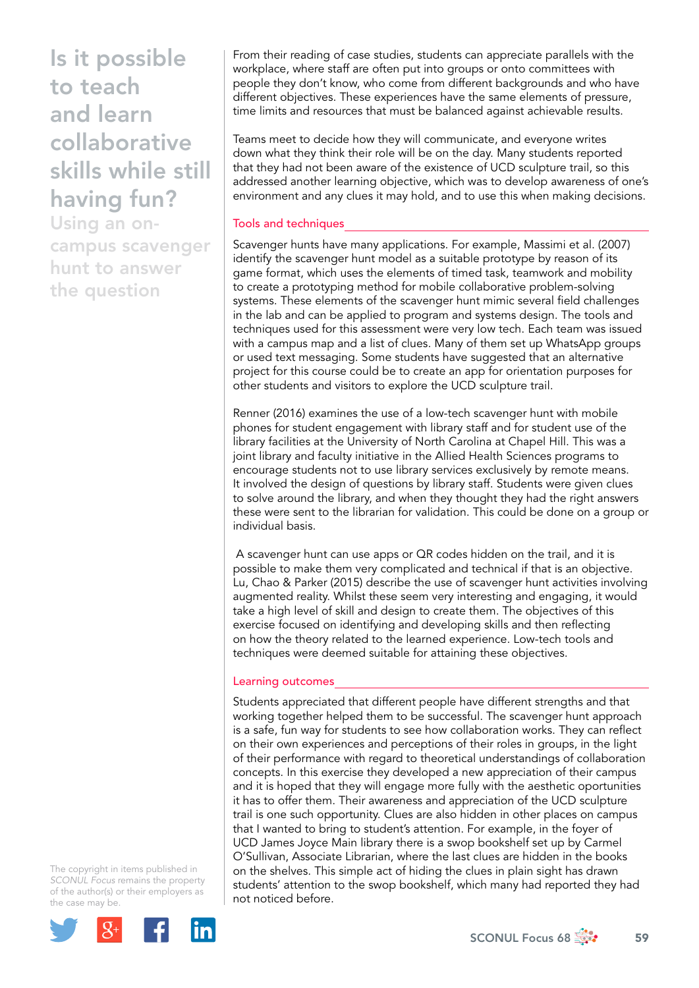Is it possible to teach and learn collaborative skills while still having fun?

Using an oncampus scavenger hunt to answer the question

From their reading of case studies, students can appreciate parallels with the workplace, where staff are often put into groups or onto committees with people they don't know, who come from different backgrounds and who have different objectives. These experiences have the same elements of pressure, time limits and resources that must be balanced against achievable results.

Teams meet to decide how they will communicate, and everyone writes down what they think their role will be on the day. Many students reported that they had not been aware of the existence of UCD sculpture trail, so this addressed another learning objective, which was to develop awareness of one's environment and any clues it may hold, and to use this when making decisions.

### Tools and techniques

Scavenger hunts have many applications. For example, Massimi et al. (2007) identify the scavenger hunt model as a suitable prototype by reason of its game format, which uses the elements of timed task, teamwork and mobility to create a prototyping method for mobile collaborative problem-solving systems. These elements of the scavenger hunt mimic several field challenges in the lab and can be applied to program and systems design. The tools and techniques used for this assessment were very low tech. Each team was issued with a campus map and a list of clues. Many of them set up WhatsApp groups or used text messaging. Some students have suggested that an alternative project for this course could be to create an app for orientation purposes for other students and visitors to explore the UCD sculpture trail.

Renner (2016) examines the use of a low-tech scavenger hunt with mobile phones for student engagement with library staff and for student use of the library facilities at the University of North Carolina at Chapel Hill. This was a joint library and faculty initiative in the Allied Health Sciences programs to encourage students not to use library services exclusively by remote means. It involved the design of questions by library staff. Students were given clues to solve around the library, and when they thought they had the right answers these were sent to the librarian for validation. This could be done on a group or individual basis.

 A scavenger hunt can use apps or QR codes hidden on the trail, and it is possible to make them very complicated and technical if that is an objective. Lu, Chao & Parker (2015) describe the use of scavenger hunt activities involving augmented reality. Whilst these seem very interesting and engaging, it would take a high level of skill and design to create them. The objectives of this exercise focused on identifying and developing skills and then reflecting on how the theory related to the learned experience. Low-tech tools and techniques were deemed suitable for attaining these objectives.

#### Learning outcomes

Students appreciated that different people have different strengths and that working together helped them to be successful. The scavenger hunt approach is a safe, fun way for students to see how collaboration works. They can reflect on their own experiences and perceptions of their roles in groups, in the light of their performance with regard to theoretical understandings of collaboration concepts. In this exercise they developed a new appreciation of their campus and it is hoped that they will engage more fully with the aesthetic oportunities it has to offer them. Their awareness and appreciation of the UCD sculpture trail is one such opportunity. Clues are also hidden in other places on campus that I wanted to bring to student's attention. For example, in the foyer of UCD James Joyce Main library there is a swop bookshelf set up by Carmel O'Sullivan, Associate Librarian, where the last clues are hidden in the books on the shelves. This simple act of hiding the clues in plain sight has drawn students' attention to the swop bookshelf, which many had reported they had not noticed before.

The copyright in items published in *SCONUL Focus* remains the property of the author(s) or their employers as the case may be.